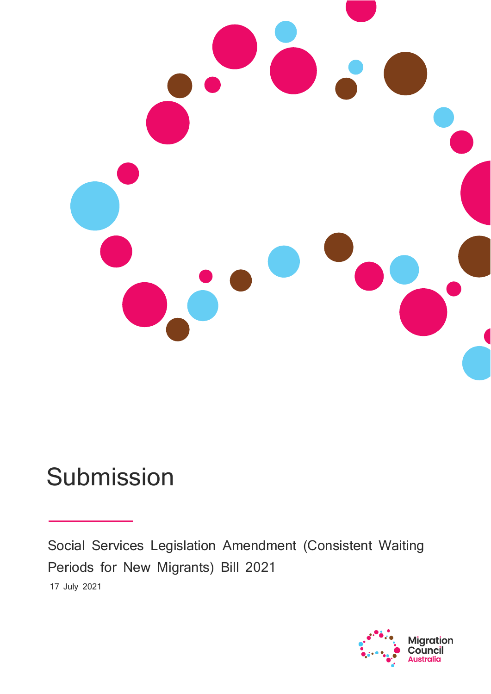

# Submission

Social Services Legislation Amendment (Consistent Waiting Periods for New Migrants) Bill 2021 17 July 2021

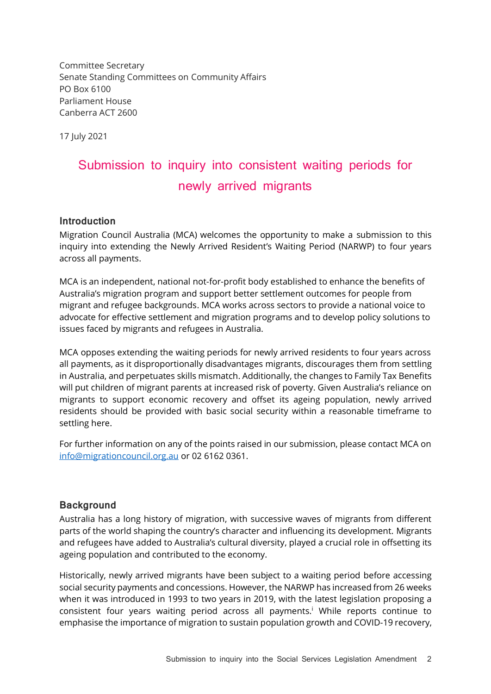Committee Secretary Senate Standing Committees on Community Affairs PO Box 6100 Parliament House Canberra ACT 2600

17 July 2021

# Submission to inquiry into consistent waiting periods for newly arrived migrants

#### **Introduction**

Migration Council Australia (MCA) welcomes the opportunity to make a submission to this inquiry into extending the Newly Arrived Resident's Waiting Period (NARWP) to four years across all payments.

MCA is an independent, national not-for-profit body established to enhance the benefits of Australia's migration program and support better settlement outcomes for people from migrant and refugee backgrounds. MCA works across sectors to provide a national voice to advocate for effective settlement and migration programs and to develop policy solutions to issues faced by migrants and refugees in Australia.

MCA opposes extending the waiting periods for newly arrived residents to four years across all payments, as it disproportionally disadvantages migrants, discourages them from settling in Australia, and perpetuates skills mismatch. Additionally, the changes to Family Tax Benefits will put children of migrant parents at increased risk of poverty. Given Australia's reliance on migrants to support economic recovery and offset its ageing population, newly arrived residents should be provided with basic social security within a reasonable timeframe to settling here.

For further information on any of the points raised in our submission, please contact MCA on [info@migrationcouncil.org.au](mailto:info@migrationcouncil.org.au) or 02 6162 0361.

#### **Background**

Australia has a long history of migration, with successive waves of migrants from different parts of the world shaping the country's character and influencing its development. Migrants and refugees have added to Australia's cultural diversity, played a crucial role in offsetting its ageing population and contributed to the economy.

<span id="page-1-0"></span>Historically, newly arrived migrants have been subject to a waiting period before accessing social security payments and concessions. However, the NARWP has increased from 26 weeks when it was introduced in 1993 to two years in 2019, with the latest legislation proposing a consistent four years waiting period across all payments.<sup>i</sup> While reports continue to emphasise the importance of migration to sustain population growth and COVID-19 recovery,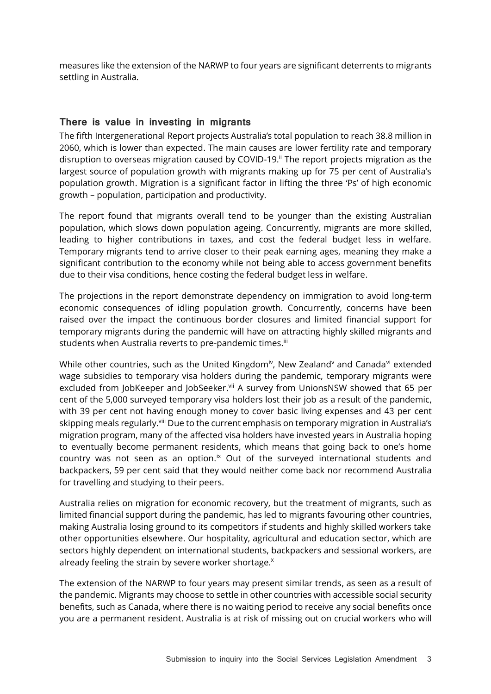measures like the extension of the NARWP to four years are significant deterrents to migrants settling in Australia.

#### **There is value in investing in migrants**

The fifth Intergenerational Report projects Australia's total population to reach 38.8 million in 2060, which is lower than expected. The main causes are lower fertility rate and temporary disruption to overseas migration caused by COVID-19.<sup>ii</sup> The report projects migration as the largest source of population growth with migrants making up for 75 per cent of Australia's population growth. Migration is a significant factor in lifting the three 'Ps' of high economic growth – population, participation and productivity.

The report found that migrants overall tend to be younger than the existing Australian population, which slows down population ageing. Concurrently, migrants are more skilled, leading to higher contributions in taxes, and cost the federal budget less in welfare. Temporary migrants tend to arrive closer to their peak earning ages, meaning they make a significant contribution to the economy while not being able to access government benefits due to their visa conditions, hence costing the federal budget less in welfare.

The projections in the report demonstrate dependency on immigration to avoid long-term economic consequences of idling population growth. Concurrently, concerns have been raised over the impact the continuous border closures and limited financial support for temporary migrants during the pandemic will have on attracting highly skilled migrants and students when Australia reverts to pre-pandemic times.<sup>iii</sup>

While other countries, such as the United Kingdom<sup>iv</sup>, New Zealand<sup>v</sup> and Canada<sup>vi</sup> extended wage subsidies to temporary visa holders during the pandemic, temporary migrants were excluded from JobKeeper and JobSeeker.vii A survey from UnionsNSW showed that 65 per cent of the 5,000 surveyed temporary visa holders lost their job as a result of the pandemic, with 39 per cent not having enough money to cover basic living expenses and 43 per cent skipping meals regularly.<sup>viii</sup> Due to the current emphasis on temporary migration in Australia's migration program, many of the affected visa holders have invested years in Australia hoping to eventually become permanent residents, which means that going back to one's home country was not seen as an option. $\alpha$  Out of the surveyed international students and backpackers, 59 per cent said that they would neither come back nor recommend Australia for travelling and studying to their peers.

Australia relies on migration for economic recovery, but the treatment of migrants, such as limited financial support during the pandemic, has led to migrants favouring other countries, making Australia losing ground to its competitors if students and highly skilled workers take other opportunities elsewhere. Our hospitality, agricultural and education sector, which are sectors highly dependent on international students, backpackers and sessional workers, are already feeling the strain by severe worker shortage.<sup>x</sup>

The extension of the NARWP to four years may present similar trends, as seen as a result of the pandemic. Migrants may choose to settle in other countries with accessible social security benefits, such as Canada, where there is no waiting period to receive any social benefits once you are a permanent resident. Australia is at risk of missing out on crucial workers who will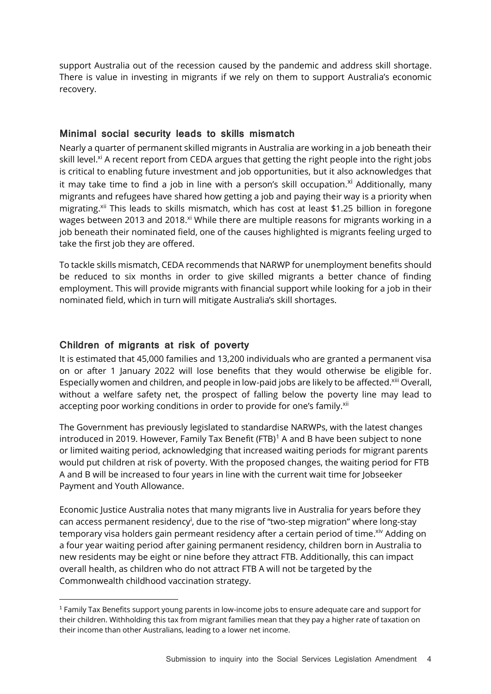support Australia out of the recession caused by the pandemic and address skill shortage. There is value in investing in migrants if we rely on them to support Australia's economic recovery.

## **Minimal social security leads to skills mismatch**

<span id="page-3-0"></span>Nearly a quarter of permanent skilled migrants in Australia are working in a job beneath their skill level.<sup>xi</sup> A recent report from CEDA argues that getting the right people into the right jobs is critical to enabling future investment and job opportunities, but it also acknowledges that it may take time to find a job in line with a person's skill occupation. X Additionally, many migrants and refugees have shared how getting a job and paying their way is a priority when migrating.<sup>xii</sup> This leads to skills mismatch, which has cost at least \$1.25 billion in foregone wages between 2013 and 2018.<sup>[xi](#page-3-0)</sup> While there are multiple reasons for migrants working in a job beneath their nominated field, one of the causes highlighted is migrants feeling urged to take the first job they are offered.

<span id="page-3-1"></span>To tackle skills mismatch, CEDA recommends that NARWP for unemployment benefits should be reduced to six months in order to give skilled migrants a better chance of finding employment. This will provide migrants with financial support while looking for a job in their nominated field, which in turn will mitigate Australia's skill shortages.

### **Children of migrants at risk of poverty**

It is estimated that 45,000 families and 13,200 individuals who are granted a permanent visa on or after 1 January 2022 will lose benefits that they would otherwise be eligible for. Especially women and children, and people in low-paid jobs are likely to be affected.<sup>xiii</sup> Overall, without a welfare safety net, the prospect of falling below the poverty line may lead to accepting poor working conditions in order to provide for one's family.<sup>[xii](#page-3-1)</sup>

The Government has previously legislated to standardise NARWPs, with the latest changes introduced in 2019. However, Family Tax Benefit (FTB)<sup>1</sup> A and B have been subject to none or limited waiting period, acknowledging that increased waiting periods for migrant parents would put children at risk of poverty. With the proposed changes, the waiting period for FTB A and B will be increased to four years in line with the current wait time for Jobseeker Payment and Youth Allowance.

Economic Justice Australia notes that many migrants live in Australia for years before they can access permanent residency<sup>i</sup>[,](#page-1-0) due to the rise of "two-step migration" where long-stay temporary visa holders gain permeant residency after a certain period of time. Xiv Adding on a four year waiting period after gaining permanent residency, children born in Australia to new residents may be eight or nine before they attract FTB. Additionally, this can impact overall health, as children who do not attract FTB A will not be targeted by the Commonwealth childhood vaccination strategy.

<sup>1</sup> Family Tax Benefits support young parents in low-income jobs to ensure adequate care and support for their children. Withholding this tax from migrant families mean that they pay a higher rate of taxation on their income than other Australians, leading to a lower net income.